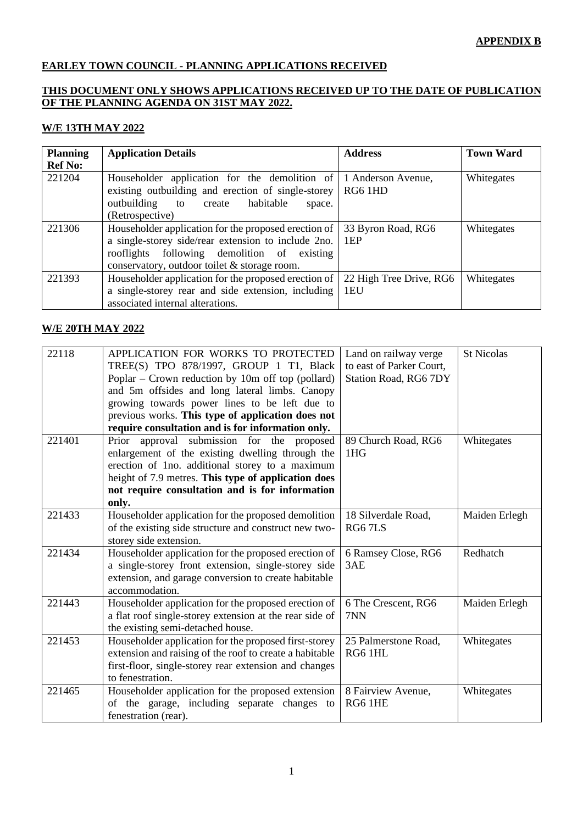### **APPENDIX B**

# **EARLEY TOWN COUNCIL - PLANNING APPLICATIONS RECEIVED**

## **THIS DOCUMENT ONLY SHOWS APPLICATIONS RECEIVED UP TO THE DATE OF PUBLICATION OF THE PLANNING AGENDA ON 31ST MAY 2022.**

#### **W/E 13TH MAY 2022**

| <b>Planning</b> | <b>Application Details</b>                                                                                                                                                                                 | <b>Address</b>                 | <b>Town Ward</b> |
|-----------------|------------------------------------------------------------------------------------------------------------------------------------------------------------------------------------------------------------|--------------------------------|------------------|
| <b>Ref No:</b>  |                                                                                                                                                                                                            |                                |                  |
| 221204          | Householder application for the demolition of<br>existing outbuilding and erection of single-storey<br>to create habitable<br>outbuilding<br>space.<br>(Retrospective)                                     | 1 Anderson Avenue,<br>RG6 1HD  | Whitegates       |
| 221306          | Householder application for the proposed erection of<br>a single-storey side/rear extension to include 2no.<br>rooflights following demolition of existing<br>conservatory, outdoor toilet & storage room. | 33 Byron Road, RG6<br>1EP      | Whitegates       |
| 221393          | Householder application for the proposed erection of<br>a single-storey rear and side extension, including<br>associated internal alterations.                                                             | 22 High Tree Drive, RG6<br>1EU | Whitegates       |

#### **W/E 20TH MAY 2022**

| 22118  | APPLICATION FOR WORKS TO PROTECTED                      | Land on railway verge    | <b>St Nicolas</b> |
|--------|---------------------------------------------------------|--------------------------|-------------------|
|        | TREE(S) TPO 878/1997, GROUP 1 T1, Black                 | to east of Parker Court, |                   |
|        | Poplar – Crown reduction by 10m off top (pollard)       | Station Road, RG6 7DY    |                   |
|        | and 5m offsides and long lateral limbs. Canopy          |                          |                   |
|        | growing towards power lines to be left due to           |                          |                   |
|        | previous works. This type of application does not       |                          |                   |
|        | require consultation and is for information only.       |                          |                   |
| 221401 | Prior approval submission for the proposed              | 89 Church Road, RG6      | Whitegates        |
|        | enlargement of the existing dwelling through the        | 1 <sub>H</sub> G         |                   |
|        | erection of 1no. additional storey to a maximum         |                          |                   |
|        | height of 7.9 metres. This type of application does     |                          |                   |
|        | not require consultation and is for information         |                          |                   |
|        | only.                                                   |                          |                   |
| 221433 | Householder application for the proposed demolition     | 18 Silverdale Road,      | Maiden Erlegh     |
|        | of the existing side structure and construct new two-   | RG67LS                   |                   |
|        | storey side extension.                                  |                          |                   |
| 221434 | Householder application for the proposed erection of    | 6 Ramsey Close, RG6      | Redhatch          |
|        | a single-storey front extension, single-storey side     | 3AE                      |                   |
|        | extension, and garage conversion to create habitable    |                          |                   |
|        | accommodation.                                          |                          |                   |
| 221443 | Householder application for the proposed erection of    | 6 The Crescent, RG6      | Maiden Erlegh     |
|        | a flat roof single-storey extension at the rear side of | 7NN                      |                   |
|        | the existing semi-detached house.                       |                          |                   |
| 221453 | Householder application for the proposed first-storey   | 25 Palmerstone Road,     | Whitegates        |
|        | extension and raising of the roof to create a habitable | RG6 1HL                  |                   |
|        | first-floor, single-storey rear extension and changes   |                          |                   |
|        | to fenestration.                                        |                          |                   |
| 221465 | Householder application for the proposed extension      | 8 Fairview Avenue,       | Whitegates        |
|        | of the garage, including separate changes to            | RG6 1HE                  |                   |
|        | fenestration (rear).                                    |                          |                   |